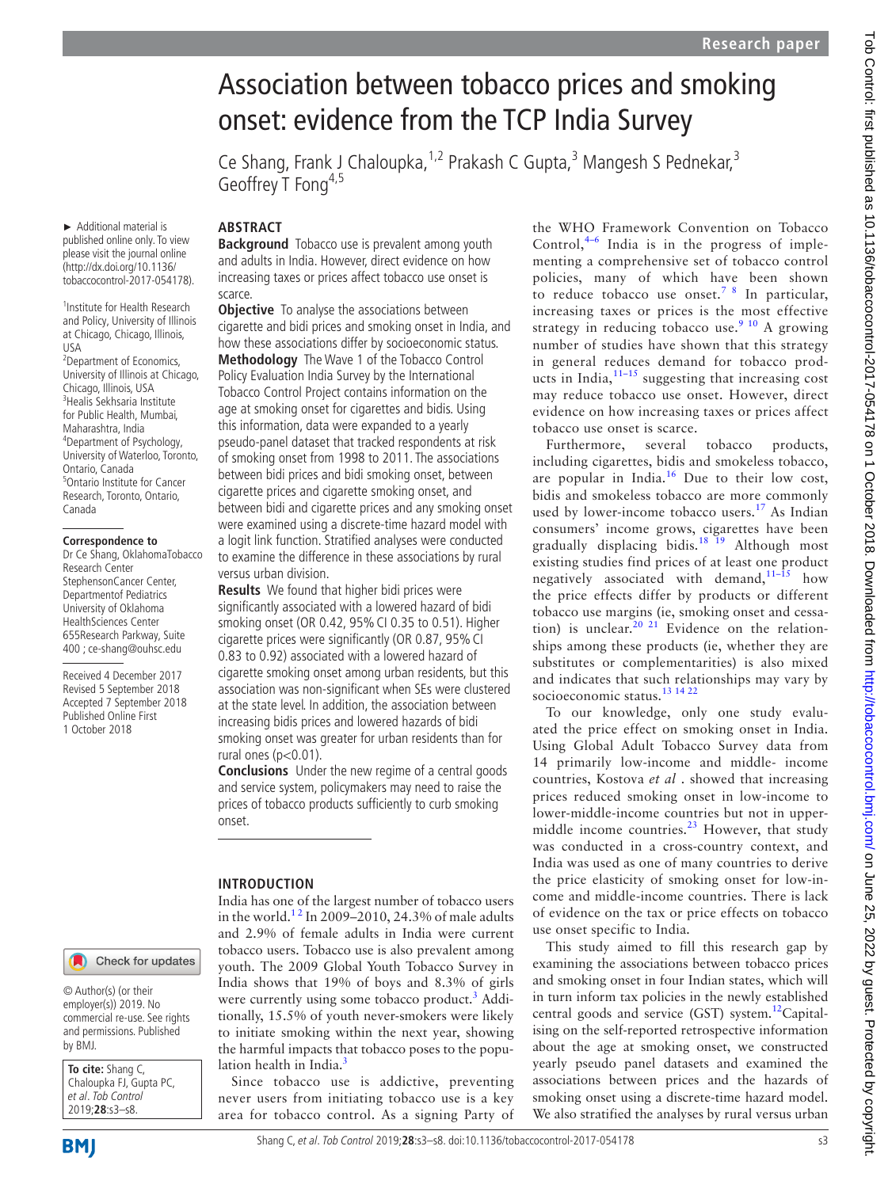# Association between tobacco prices and smoking onset: evidence from the TCP India Survey

Ce Shang, Frank J Chaloupka,<sup>1,2</sup> Prakash C Gupta,<sup>3</sup> Mangesh S Pednekar,<sup>3</sup> Geoffrey T Fong<sup>4,5</sup>

► Additional material is published online only. To view please visit the journal online (http://dx.doi.org/10.1136/ tobaccocontrol-2017-054178).

1 Institute for Health Research and Policy, University of Illinois at Chicago, Chicago, Illinois, USA <sup>2</sup>Department of Economics, University of Illinois at Chicago, Chicago, Illinois, USA 3 Healis Sekhsaria Institute for Public Health, Mumbai, Maharashtra, India 4 Department of Psychology, University of Waterloo, Toronto, Ontario, Canada 5 Ontario Institute for Cancer Research, Toronto, Ontario, Canada

#### **Correspondence to**

Dr Ce Shang, OklahomaTobacco Research Center StephensonCancer Center, Departmentof Pediatrics University of Oklahoma HealthSciences Center 655Research Parkway, Suite 400 ; ce-shang@ouhsc.edu

Received 4 December 2017 Revised 5 September 2018 Accepted 7 September 2018 Published Online First 1 October 2018

## **Abstract**

**Background** Tobacco use is prevalent among youth and adults in India. However, direct evidence on how increasing taxes or prices affect tobacco use onset is scarce.

**Objective** To analyse the associations between cigarette and bidi prices and smoking onset in India, and how these associations differ by socioeconomic status. **Methodology** The Wave 1 of the Tobacco Control Policy Evaluation India Survey by the International Tobacco Control Project contains information on the age at smoking onset for cigarettes and bidis. Using this information, data were expanded to a yearly pseudo-panel dataset that tracked respondents at risk of smoking onset from 1998 to 2011. The associations between bidi prices and bidi smoking onset, between cigarette prices and cigarette smoking onset, and between bidi and cigarette prices and any smoking onset were examined using a discrete-time hazard model with a logit link function. Stratified analyses were conducted to examine the difference in these associations by rural versus urban division.

**Results** We found that higher bidi prices were significantly associated with a lowered hazard of bidi smoking onset (OR 0.42, 95%CI 0.35 to 0.51). Higher cigarette prices were significantly (OR 0.87, 95%CI 0.83 to 0.92) associated with a lowered hazard of cigarette smoking onset among urban residents, but this association was non-significant when SEs were clustered at the state level. In addition, the association between increasing bidis prices and lowered hazards of bidi smoking onset was greater for urban residents than for rural ones ( $p<0.01$ ).

**Conclusions** Under the new regime of a central goods and service system, policymakers may need to raise the prices of tobacco products sufficiently to curb smoking onset.

## **Introduction**

India has one of the largest number of tobacco users in the world.<sup>12</sup> In 2009–2010, 24.3% of male adults and 2.9% of female adults in India were current tobacco users. Tobacco use is also prevalent among youth. The 2009 Global Youth Tobacco Survey in India shows that 19% of boys and 8.3% of girls were currently using some tobacco product.<sup>[3](#page-5-1)</sup> Additionally, 15.5% of youth never-smokers were likely to initiate smoking within the next year, showing the harmful impacts that tobacco poses to the population health in India. $3$ 

Since tobacco use is addictive, preventing never users from initiating tobacco use is a key area for tobacco control. As a signing Party of the WHO Framework Convention on Tobacco Control, $4-6$  India is in the progress of implementing a comprehensive set of tobacco control policies, many of which have been shown to reduce tobacco use onset.<sup>[7 8](#page-5-3)</sup> In particular, increasing taxes or prices is the most effective strategy in reducing tobacco use.<sup>[9 10](#page-5-4)</sup> A growing number of studies have shown that this strategy in general reduces demand for tobacco products in India, $11-15$  suggesting that increasing cost may reduce tobacco use onset. However, direct evidence on how increasing taxes or prices affect tobacco use onset is scarce.

Furthermore, several tobacco products, including cigarettes, bidis and smokeless tobacco, are popular in India. $16$  Due to their low cost, bidis and smokeless tobacco are more commonly used by lower-income tobacco users.<sup>[17](#page-5-7)</sup> As Indian consumers' income grows, cigarettes have been gradually displacing bidis.<sup>[18 19](#page-5-8)</sup> Although most existing studies find prices of at least one product negatively associated with demand,  $11-\hat{1}5$  how the price effects differ by products or different tobacco use margins (ie, smoking onset and cessation) is unclear.<sup>20 21</sup> Evidence on the relationships among these products (ie, whether they are substitutes or complementarities) is also mixed and indicates that such relationships may vary by socioeconomic status.<sup>13</sup> <sup>14</sup> <sup>22</sup>

To our knowledge, only one study evaluated the price effect on smoking onset in India. Using Global Adult Tobacco Survey data from 14 primarily low-income and middle- income countries, Kostova *et al* . showed that increasing prices reduced smoking onset in low-income to lower-middle-income countries but not in uppermiddle income countries.<sup>23</sup> However, that study was conducted in a cross-country context, and India was used as one of many countries to derive the price elasticity of smoking onset for low-income and middle-income countries. There is lack of evidence on the tax or price effects on tobacco use onset specific to India.

This study aimed to fill this research gap by examining the associations between tobacco prices and smoking onset in four Indian states, which will in turn inform tax policies in the newly established central goods and service (GST) system.<sup>[12](#page-5-12)</sup>Capitalising on the self-reported retrospective information about the age at smoking onset, we constructed yearly pseudo panel datasets and examined the associations between prices and the hazards of smoking onset using a discrete-time hazard model. We also stratified the analyses by rural versus urban

© Author(s) (or their employer(s)) 2019. No commercial re-use. See rights and permissions. Published by BMJ.

**To cite:** Shang C, Chaloupka FJ, Gupta PC, et al. Tob Control 2019;**28**:s3–s8.

**BMI**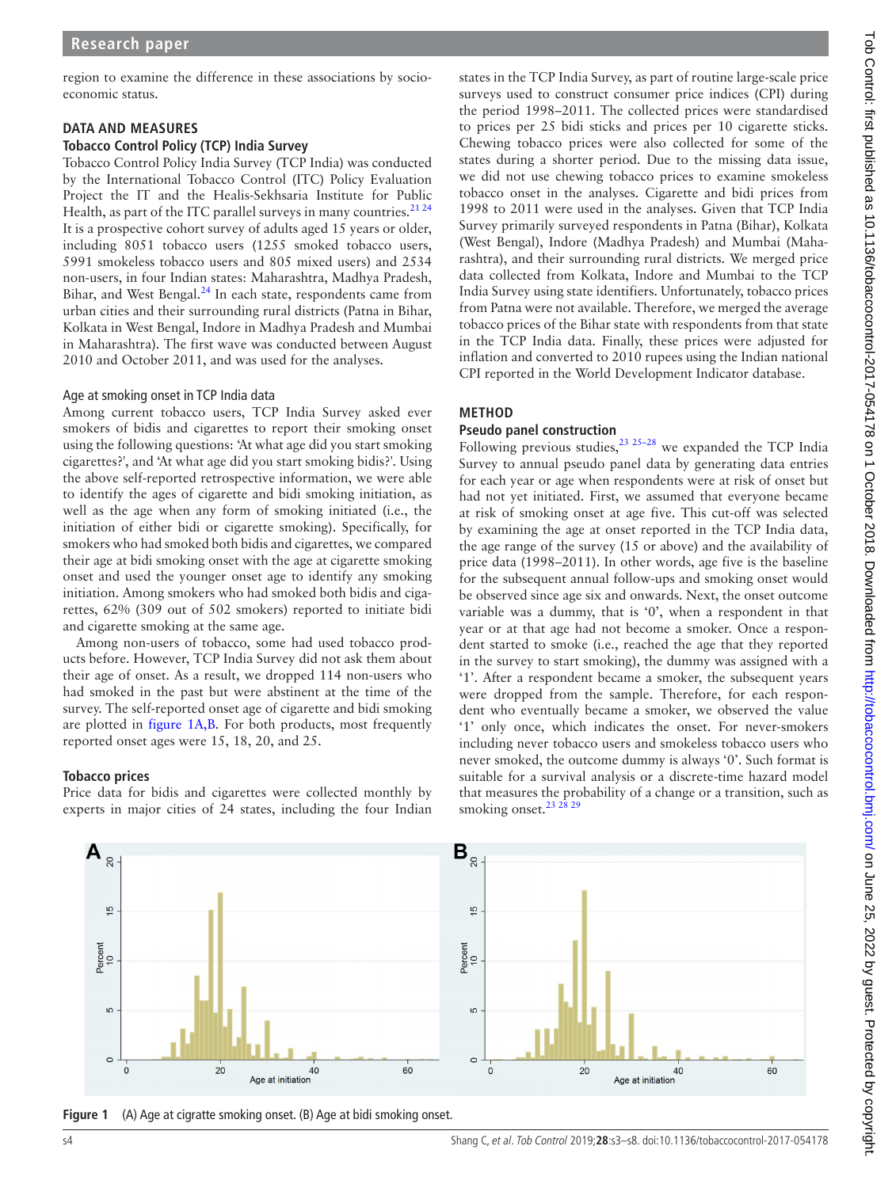region to examine the difference in these associations by socioeconomic status.

## **Data and measures**

#### **Tobacco Control Policy (TCP) India Survey**

Tobacco Control Policy India Survey (TCP India) was conducted by the International Tobacco Control (ITC) Policy Evaluation Project the IT and the Healis-Sekhsaria Institute for Public Health, as part of the ITC parallel surveys in many countries.<sup>2124</sup> It is a prospective cohort survey of adults aged 15 years or older, including 8051 tobacco users (1255 smoked tobacco users, 5991 smokeless tobacco users and 805 mixed users) and 2534 non-users, in four Indian states: Maharashtra, Madhya Pradesh, Bihar, and West Bengal.<sup>24</sup> In each state, respondents came from urban cities and their surrounding rural districts (Patna in Bihar, Kolkata in West Bengal, Indore in Madhya Pradesh and Mumbai in Maharashtra). The first wave was conducted between August 2010 and October 2011, and was used for the analyses.

#### Age at smoking onset in TCP India data

Among current tobacco users, TCP India Survey asked ever smokers of bidis and cigarettes to report their smoking onset using the following questions: 'At what age did you start smoking cigarettes?', and 'At what age did you start smoking bidis?'. Using the above self-reported retrospective information, we were able to identify the ages of cigarette and bidi smoking initiation, as well as the age when any form of smoking initiated (i.e., the initiation of either bidi or cigarette smoking). Specifically, for smokers who had smoked both bidis and cigarettes, we compared their age at bidi smoking onset with the age at cigarette smoking onset and used the younger onset age to identify any smoking initiation. Among smokers who had smoked both bidis and cigarettes, 62% (309 out of 502 smokers) reported to initiate bidi and cigarette smoking at the same age.

Among non-users of tobacco, some had used tobacco products before. However, TCP India Survey did not ask them about their age of onset. As a result, we dropped 114 non-users who had smoked in the past but were abstinent at the time of the survey. The self-reported onset age of cigarette and bidi smoking are plotted in [figure](#page-1-0) 1A,B. For both products, most frequently reported onset ages were 15, 18, 20, and 25.

### **Tobacco prices**

Price data for bidis and cigarettes were collected monthly by experts in major cities of 24 states, including the four Indian

states in the TCP India Survey, as part of routine large-scale price surveys used to construct consumer price indices (CPI) during the period 1998–2011. The collected prices were standardised to prices per 25 bidi sticks and prices per 10 cigarette sticks. Chewing tobacco prices were also collected for some of the states during a shorter period. Due to the missing data issue, we did not use chewing tobacco prices to examine smokeless tobacco onset in the analyses. Cigarette and bidi prices from 1998 to 2011 were used in the analyses. Given that TCP India Survey primarily surveyed respondents in Patna (Bihar), Kolkata (West Bengal), Indore (Madhya Pradesh) and Mumbai (Maharashtra), and their surrounding rural districts. We merged price data collected from Kolkata, Indore and Mumbai to the TCP India Survey using state identifiers. Unfortunately, tobacco prices from Patna were not available. Therefore, we merged the average tobacco prices of the Bihar state with respondents from that state in the TCP India data. Finally, these prices were adjusted for inflation and converted to 2010 rupees using the Indian national CPI reported in the World Development Indicator database.

## **Method**

## **Pseudo panel construction**

Following previous studies, $23 \times 25-28$  we expanded the TCP India Survey to annual pseudo panel data by generating data entries for each year or age when respondents were at risk of onset but had not yet initiated. First, we assumed that everyone became at risk of smoking onset at age five. This cut-off was selected by examining the age at onset reported in the TCP India data, the age range of the survey (15 or above) and the availability of price data (1998–2011). In other words, age five is the baseline for the subsequent annual follow-ups and smoking onset would be observed since age six and onwards. Next, the onset outcome variable was a dummy, that is '0', when a respondent in that year or at that age had not become a smoker. Once a respondent started to smoke (i.e., reached the age that they reported in the survey to start smoking), the dummy was assigned with a '1'. After a respondent became a smoker, the subsequent years were dropped from the sample. Therefore, for each respondent who eventually became a smoker, we observed the value '1' only once, which indicates the onset. For never-smokers including never tobacco users and smokeless tobacco users who never smoked, the outcome dummy is always '0'. Such format is suitable for a survival analysis or a discrete-time hazard model that measures the probability of a change or a transition, such as smoking onset.<sup>23</sup> 2



<span id="page-1-0"></span>**Figure 1** (A) Age at cigratte smoking onset. (B) Age at bidi smoking onset.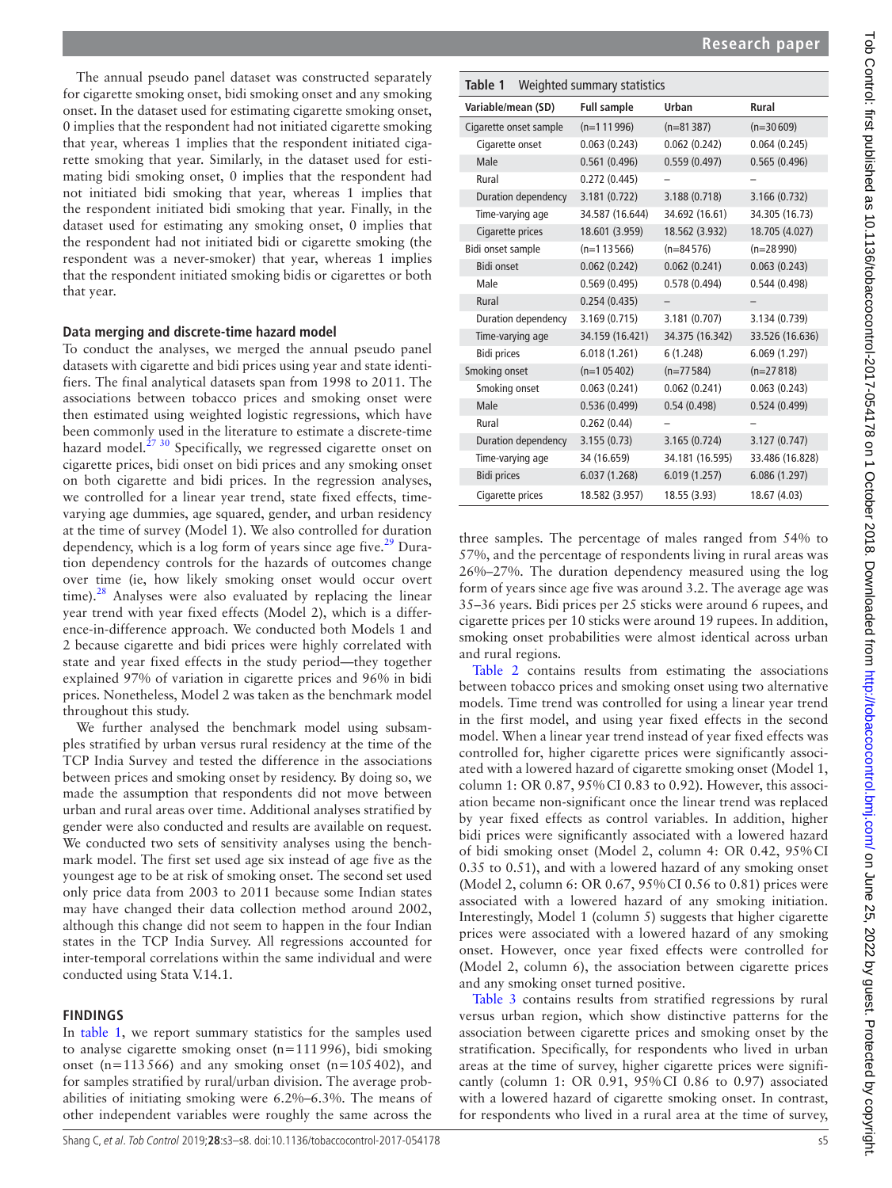The annual pseudo panel dataset was constructed separately for cigarette smoking onset, bidi smoking onset and any smoking onset. In the dataset used for estimating cigarette smoking onset, 0 implies that the respondent had not initiated cigarette smoking that year, whereas 1 implies that the respondent initiated cigarette smoking that year. Similarly, in the dataset used for estimating bidi smoking onset, 0 implies that the respondent had not initiated bidi smoking that year, whereas 1 implies that the respondent initiated bidi smoking that year. Finally, in the dataset used for estimating any smoking onset, 0 implies that the respondent had not initiated bidi or cigarette smoking (the respondent was a never-smoker) that year, whereas 1 implies that the respondent initiated smoking bidis or cigarettes or both that year.

# **Data merging and discrete-time hazard model**

To conduct the analyses, we merged the annual pseudo panel datasets with cigarette and bidi prices using year and state identifiers. The final analytical datasets span from 1998 to 2011. The associations between tobacco prices and smoking onset were then estimated using weighted logistic regressions, which have been commonly used in the literature to estimate a discrete-time hazard model.<sup>[27 30](#page-5-15)</sup> Specifically, we regressed cigarette onset on cigarette prices, bidi onset on bidi prices and any smoking onset on both cigarette and bidi prices. In the regression analyses, we controlled for a linear year trend, state fixed effects, timevarying age dummies, age squared, gender, and urban residency at the time of survey (Model 1). We also controlled for duration dependency, which is a log form of years since age five. $29$  Duration dependency controls for the hazards of outcomes change over time (ie, how likely smoking onset would occur overt time). $28$  Analyses were also evaluated by replacing the linear year trend with year fixed effects (Model 2), which is a difference-in-difference approach. We conducted both Models 1 and 2 because cigarette and bidi prices were highly correlated with state and year fixed effects in the study period—they together explained 97% of variation in cigarette prices and 96% in bidi prices. Nonetheless, Model 2 was taken as the benchmark model throughout this study.

We further analysed the benchmark model using subsamples stratified by urban versus rural residency at the time of the TCP India Survey and tested the difference in the associations between prices and smoking onset by residency. By doing so, we made the assumption that respondents did not move between urban and rural areas over time. Additional analyses stratified by gender were also conducted and results are available on request. We conducted two sets of sensitivity analyses using the benchmark model. The first set used age six instead of age five as the youngest age to be at risk of smoking onset. The second set used only price data from 2003 to 2011 because some Indian states may have changed their data collection method around 2002, although this change did not seem to happen in the four Indian states in the TCP India Survey. All regressions accounted for inter-temporal correlations within the same individual and were conducted using Stata V.14.1.

# **Findings**

In [table](#page-2-0) 1, we report summary statistics for the samples used to analyse cigarette smoking onset (n=111996), bidi smoking onset (n=113566) and any smoking onset (n=105402), and for samples stratified by rural/urban division. The average probabilities of initiating smoking were 6.2%–6.3%. The means of other independent variables were roughly the same across the

<span id="page-2-0"></span>

| Weighted summary statistics<br>Table 1 |                    |                 |                 |  |  |  |
|----------------------------------------|--------------------|-----------------|-----------------|--|--|--|
| Variable/mean (SD)                     | <b>Full sample</b> | Urban           | <b>Rural</b>    |  |  |  |
| Cigarette onset sample                 | $(n=111996)$       | $(n=81387)$     | $(n=30609)$     |  |  |  |
| Cigarette onset                        | 0.063(0.243)       | 0.062(0.242)    | 0.064(0.245)    |  |  |  |
| Male                                   | 0.561(0.496)       | 0.559(0.497)    | 0.565(0.496)    |  |  |  |
| Rural                                  | 0.272(0.445)       |                 |                 |  |  |  |
| Duration dependency                    | 3.181 (0.722)      | 3.188 (0.718)   | 3.166 (0.732)   |  |  |  |
| Time-varying age                       | 34.587 (16.644)    | 34.692 (16.61)  | 34.305 (16.73)  |  |  |  |
| Cigarette prices                       | 18.601 (3.959)     | 18.562 (3.932)  | 18.705 (4.027)  |  |  |  |
| Bidi onset sample                      | $(n=113566)$       | $(n=84576)$     | $(n=28990)$     |  |  |  |
| <b>Bidi onset</b>                      | 0.062(0.242)       | 0.062(0.241)    | 0.063(0.243)    |  |  |  |
| Male                                   | 0.569(0.495)       | 0.578(0.494)    | 0.544(0.498)    |  |  |  |
| Rural                                  | 0.254(0.435)       |                 |                 |  |  |  |
| Duration dependency                    | 3.169 (0.715)      | 3.181 (0.707)   | 3.134 (0.739)   |  |  |  |
| Time-varying age                       | 34.159 (16.421)    | 34.375 (16.342) | 33.526 (16.636) |  |  |  |
| <b>Bidi prices</b>                     | 6.018(1.261)       | 6(1.248)        | 6.069(1.297)    |  |  |  |
| Smoking onset                          | $(n=105402)$       | $(n=77584)$     | $(n=27818)$     |  |  |  |
| Smoking onset                          | 0.063(0.241)       | 0.062(0.241)    | 0.063(0.243)    |  |  |  |
| Male                                   | 0.536(0.499)       | 0.54(0.498)     | 0.524(0.499)    |  |  |  |
| Rural                                  | 0.262(0.44)        |                 |                 |  |  |  |
| Duration dependency                    | 3.155(0.73)        | 3.165 (0.724)   | 3.127 (0.747)   |  |  |  |
| Time-varying age                       | 34 (16.659)        | 34.181 (16.595) | 33.486 (16.828) |  |  |  |
| <b>Bidi prices</b>                     | 6.037(1.268)       | 6.019(1.257)    | 6.086 (1.297)   |  |  |  |
| Cigarette prices                       | 18.582 (3.957)     | 18.55 (3.93)    | 18.67 (4.03)    |  |  |  |

three samples. The percentage of males ranged from 54% to 57%, and the percentage of respondents living in rural areas was 26%–27%. The duration dependency measured using the log form of years since age five was around 3.2. The average age was 35–36 years. Bidi prices per 25 sticks were around 6 rupees, and cigarette prices per 10 sticks were around 19 rupees. In addition, smoking onset probabilities were almost identical across urban and rural regions.

[Table](#page-3-0) 2 contains results from estimating the associations between tobacco prices and smoking onset using two alternative models. Time trend was controlled for using a linear year trend in the first model, and using year fixed effects in the second model. When a linear year trend instead of year fixed effects was controlled for, higher cigarette prices were significantly associated with a lowered hazard of cigarette smoking onset (Model 1, column 1: OR 0.87, 95%CI 0.83 to 0.92). However, this association became non-significant once the linear trend was replaced by year fixed effects as control variables. In addition, higher bidi prices were significantly associated with a lowered hazard of bidi smoking onset (Model 2, column 4: OR 0.42, 95%CI 0.35 to 0.51), and with a lowered hazard of any smoking onset (Model 2, column 6: OR 0.67, 95%CI 0.56 to 0.81) prices were associated with a lowered hazard of any smoking initiation. Interestingly, Model 1 (column 5) suggests that higher cigarette prices were associated with a lowered hazard of any smoking onset. However, once year fixed effects were controlled for (Model 2, column 6), the association between cigarette prices and any smoking onset turned positive.

[Table](#page-3-1) 3 contains results from stratified regressions by rural versus urban region, which show distinctive patterns for the association between cigarette prices and smoking onset by the stratification. Specifically, for respondents who lived in urban areas at the time of survey, higher cigarette prices were significantly (column 1: OR 0.91, 95%CI 0.86 to 0.97) associated with a lowered hazard of cigarette smoking onset. In contrast, for respondents who lived in a rural area at the time of survey,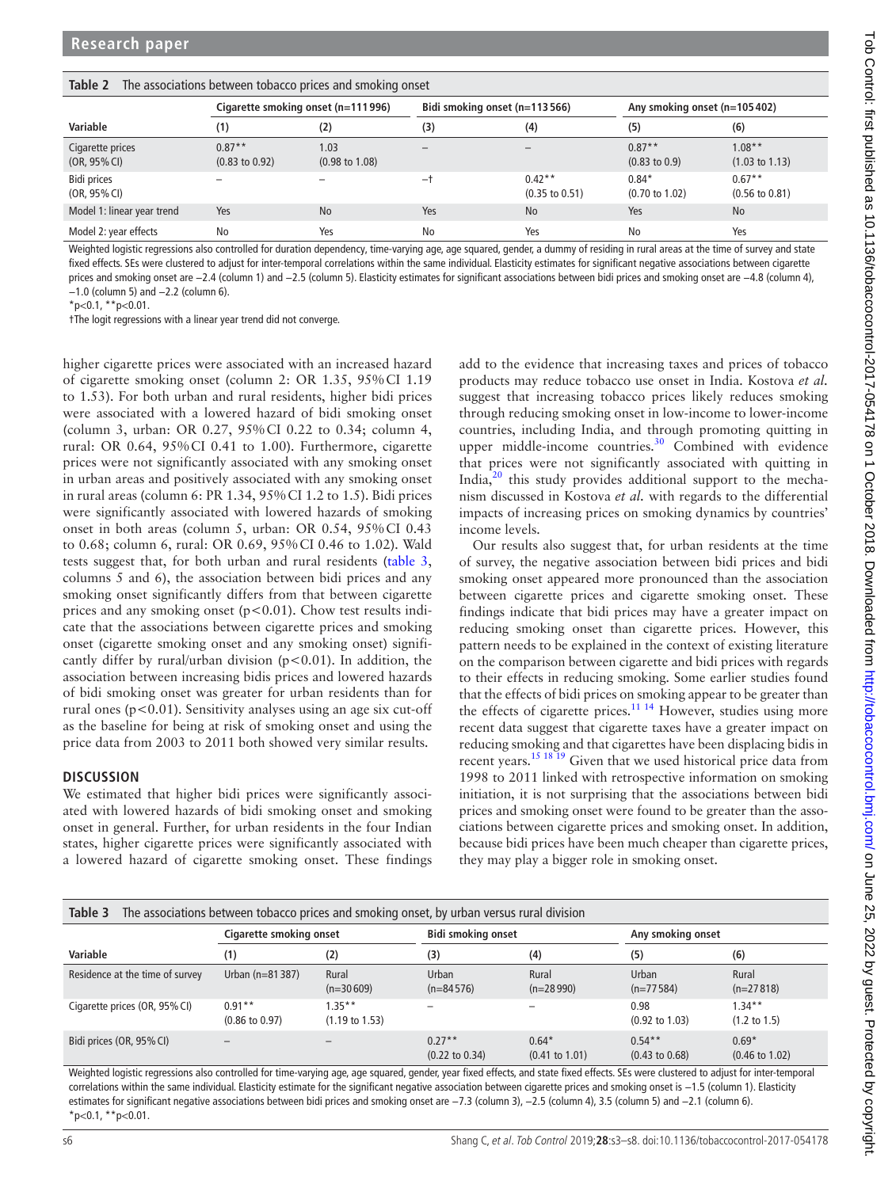|                                  | Cigarette smoking onset (n=111996)    |                                   | Bidi smoking onset (n=113566) |                                       | Any smoking onset (n=105402)         |                                       |  |
|----------------------------------|---------------------------------------|-----------------------------------|-------------------------------|---------------------------------------|--------------------------------------|---------------------------------------|--|
| Variable                         | (1)                                   | (2)                               | (3)                           | (4)                                   | (5)                                  | (6)                                   |  |
| Cigarette prices<br>(OR, 95% CI) | $0.87**$<br>$(0.83 \text{ to } 0.92)$ | 1.03<br>$(0.98 \text{ to } 1.08)$ | $\overline{\phantom{m}}$      |                                       | $0.87**$<br>$(0.83 \text{ to } 0.9)$ | $1.08**$<br>$(1.03 \text{ to } 1.13)$ |  |
| Bidi prices<br>(OR, 95% CI)      |                                       |                                   | -1                            | $0.42**$<br>$(0.35 \text{ to } 0.51)$ | $0.84*$<br>$(0.70 \text{ to } 1.02)$ | $0.67**$<br>$(0.56 \text{ to } 0.81)$ |  |
| Model 1: linear year trend       | Yes                                   | <b>No</b>                         | Yes                           | <b>No</b>                             | Yes                                  | <b>No</b>                             |  |
| Model 2: year effects            | No                                    | Yes                               | No                            | Yes                                   | No                                   | Yes                                   |  |

<span id="page-3-0"></span>**Table 2** The associations between tobacco prices and smoking onset

Weighted logistic regressions also controlled for duration dependency, time-varying age, age squared, gender, a dummy of residing in rural areas at the time of survey and state fixed effects. SEs were clustered to adjust for inter-temporal correlations within the same individual. Elasticity estimates for significant negative associations between cigarette prices and smoking onset are −2.4 (column 1) and −2.5 (column 5). Elasticity estimates for significant associations between bidi prices and smoking onset are −4.8 (column 4), −1.0 (column 5) and −2.2 (column 6).

 $*p<0.1$ ,  $*p<0.01$ .

†The logit regressions with a linear year trend did not converge.

higher cigarette prices were associated with an increased hazard of cigarette smoking onset (column 2: OR 1.35, 95%CI 1.19 to 1.53). For both urban and rural residents, higher bidi prices were associated with a lowered hazard of bidi smoking onset (column 3, urban: OR 0.27, 95%CI 0.22 to 0.34; column 4, rural: OR 0.64, 95%CI 0.41 to 1.00). Furthermore, cigarette prices were not significantly associated with any smoking onset in urban areas and positively associated with any smoking onset in rural areas (column 6: PR 1.34, 95%CI 1.2 to 1.5). Bidi prices were significantly associated with lowered hazards of smoking onset in both areas (column 5, urban: OR 0.54, 95%CI 0.43 to 0.68; column 6, rural: OR 0.69, 95%CI 0.46 to 1.02). Wald tests suggest that, for both urban and rural residents ([table](#page-3-1) 3, columns 5 and 6), the association between bidi prices and any smoking onset significantly differs from that between cigarette prices and any smoking onset  $(p<0.01)$ . Chow test results indicate that the associations between cigarette prices and smoking onset (cigarette smoking onset and any smoking onset) significantly differ by rural/urban division ( $p < 0.01$ ). In addition, the association between increasing bidis prices and lowered hazards of bidi smoking onset was greater for urban residents than for rural ones ( $p < 0.01$ ). Sensitivity analyses using an age six cut-off as the baseline for being at risk of smoking onset and using the price data from 2003 to 2011 both showed very similar results.

### **Discussion**

We estimated that higher bidi prices were significantly associated with lowered hazards of bidi smoking onset and smoking onset in general. Further, for urban residents in the four Indian states, higher cigarette prices were significantly associated with a lowered hazard of cigarette smoking onset. These findings

add to the evidence that increasing taxes and prices of tobacco products may reduce tobacco use onset in India. Kostova *et al.* suggest that increasing tobacco prices likely reduces smoking through reducing smoking onset in low-income to lower-income countries, including India, and through promoting quitting in upper middle-income countries.<sup>30</sup> Combined with evidence that prices were not significantly associated with quitting in India, $^{20}$  this study provides additional support to the mechanism discussed in Kostova *et al.* with regards to the differential impacts of increasing prices on smoking dynamics by countries' income levels.

Our results also suggest that, for urban residents at the time of survey, the negative association between bidi prices and bidi smoking onset appeared more pronounced than the association between cigarette prices and cigarette smoking onset. These findings indicate that bidi prices may have a greater impact on reducing smoking onset than cigarette prices. However, this pattern needs to be explained in the context of existing literature on the comparison between cigarette and bidi prices with regards to their effects in reducing smoking. Some earlier studies found that the effects of bidi prices on smoking appear to be greater than the effects of cigarette prices.<sup>11 14</sup> However, studies using more recent data suggest that cigarette taxes have a greater impact on reducing smoking and that cigarettes have been displacing bidis in recent years.<sup>15 18 19</sup> Given that we used historical price data from 1998 to 2011 linked with retrospective information on smoking initiation, it is not surprising that the associations between bidi prices and smoking onset were found to be greater than the associations between cigarette prices and smoking onset. In addition, because bidi prices have been much cheaper than cigarette prices, they may play a bigger role in smoking onset.

<span id="page-3-1"></span>

| Table 3<br>The associations between tobacco prices and smoking onset, by urban versus rural division |                                       |                                        |                                       |                                      |                                        |                                      |  |  |
|------------------------------------------------------------------------------------------------------|---------------------------------------|----------------------------------------|---------------------------------------|--------------------------------------|----------------------------------------|--------------------------------------|--|--|
|                                                                                                      | <b>Cigarette smoking onset</b>        |                                        | <b>Bidi smoking onset</b>             |                                      | Any smoking onset                      |                                      |  |  |
| Variable                                                                                             | (1)                                   | (2)                                    | (3)                                   | (4)                                  | (5)                                    | (6)                                  |  |  |
| Residence at the time of survey                                                                      | Urban (n=81 387)                      | Rural<br>$(n=30609)$                   | Urban<br>$(n=84576)$                  | Rural<br>$(n=28990)$                 | Urban<br>$(n=77584)$                   | Rural<br>$(n=27818)$                 |  |  |
| Cigarette prices (OR, 95% CI)                                                                        | $0.91**$<br>$(0.86 \text{ to } 0.97)$ | $1.35***$<br>$(1.19 \text{ to } 1.53)$ |                                       |                                      | 0.98<br>$(0.92 \text{ to } 1.03)$      | $1.34**$<br>$(1.2 \text{ to } 1.5)$  |  |  |
| Bidi prices (OR, 95% CI)                                                                             |                                       |                                        | $0.27**$<br>$(0.22 \text{ to } 0.34)$ | $0.64*$<br>$(0.41 \text{ to } 1.01)$ | $0.54***$<br>$(0.43 \text{ to } 0.68)$ | $0.69*$<br>$(0.46 \text{ to } 1.02)$ |  |  |

Weighted logistic regressions also controlled for time-varying age, age squared, gender, year fixed effects, and state fixed effects. SEs were clustered to adjust for inter-temporal correlations within the same individual. Elasticity estimate for the significant negative association between cigarette prices and smoking onset is −1.5 (column 1). Elasticity estimates for significant negative associations between bidi prices and smoking onset are −7.3 (column 3), −2.5 (column 4), 3.5 (column 5) and −2.1 (column 6).  $*p<0.1$ ,  $*p<0.01$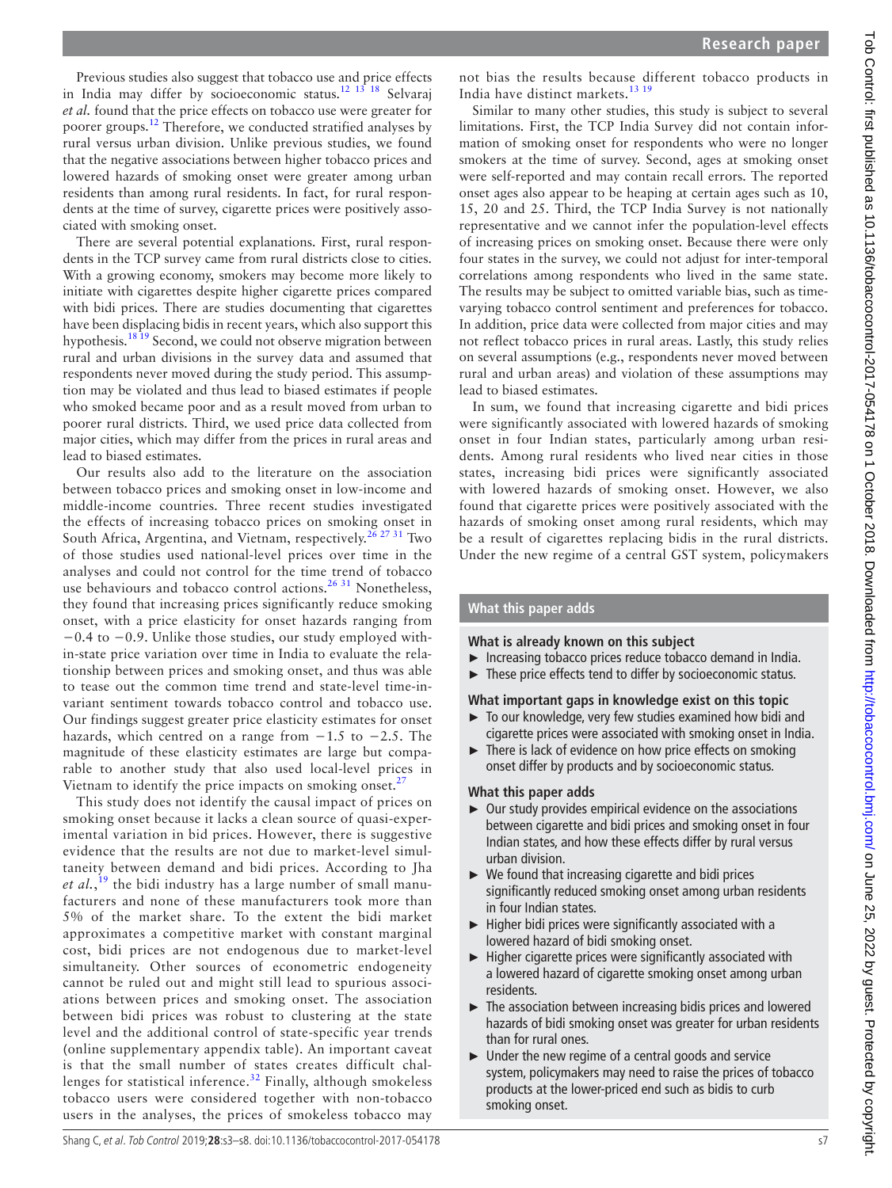Previous studies also suggest that tobacco use and price effects in India may differ by socioeconomic status.<sup>12 13</sup> 18 Selvaraj *et al.* found that the price effects on tobacco use were greater for poorer groups.[12](#page-5-12) Therefore, we conducted stratified analyses by rural versus urban division. Unlike previous studies, we found that the negative associations between higher tobacco prices and lowered hazards of smoking onset were greater among urban residents than among rural residents. In fact, for rural respondents at the time of survey, cigarette prices were positively associated with smoking onset.

There are several potential explanations. First, rural respondents in the TCP survey came from rural districts close to cities. With a growing economy, smokers may become more likely to initiate with cigarettes despite higher cigarette prices compared with bidi prices. There are studies documenting that cigarettes have been displacing bidis in recent years, which also support this hypothesis.<sup>18 19</sup> Second, we could not observe migration between rural and urban divisions in the survey data and assumed that respondents never moved during the study period. This assumption may be violated and thus lead to biased estimates if people who smoked became poor and as a result moved from urban to poorer rural districts. Third, we used price data collected from major cities, which may differ from the prices in rural areas and lead to biased estimates.

Our results also add to the literature on the association between tobacco prices and smoking onset in low-income and middle-income countries. Three recent studies investigated the effects of increasing tobacco prices on smoking onset in South Africa, Argentina, and Vietnam, respectively.<sup>[26 27 31](#page-5-20)</sup> Two of those studies used national-level prices over time in the analyses and could not control for the time trend of tobacco use behaviours and tobacco control actions.<sup>26 31</sup> Nonetheless, they found that increasing prices significantly reduce smoking onset, with a price elasticity for onset hazards ranging from −0.4 to −0.9. Unlike those studies, our study employed within-state price variation over time in India to evaluate the relationship between prices and smoking onset, and thus was able to tease out the common time trend and state-level time-invariant sentiment towards tobacco control and tobacco use. Our findings suggest greater price elasticity estimates for onset hazards, which centred on a range from −1.5 to −2.5. The magnitude of these elasticity estimates are large but comparable to another study that also used local-level prices in Vietnam to identify the price impacts on smoking onset. $^{27}$  $^{27}$  $^{27}$ 

This study does not identify the causal impact of prices on smoking onset because it lacks a clean source of quasi-experimental variation in bid prices. However, there is suggestive evidence that the results are not due to market-level simultaneity between demand and bidi prices. According to Jha *et al.*, [19](#page-5-21) the bidi industry has a large number of small manufacturers and none of these manufacturers took more than 5% of the market share. To the extent the bidi market approximates a competitive market with constant marginal cost, bidi prices are not endogenous due to market-level simultaneity. Other sources of econometric endogeneity cannot be ruled out and might still lead to spurious associations between prices and smoking onset. The association between bidi prices was robust to clustering at the state level and the additional control of state-specific year trends (online [supplementary appendix table\)](https://dx.doi.org/10.1136/tobaccocontrol-2017-054178). An important caveat is that the small number of states creates difficult chal-lenges for statistical inference.<sup>[32](#page-5-22)</sup> Finally, although smokeless tobacco users were considered together with non-tobacco users in the analyses, the prices of smokeless tobacco may

not bias the results because different tobacco products in India have distinct markets.[13 19](#page-5-10)

Similar to many other studies, this study is subject to several limitations. First, the TCP India Survey did not contain information of smoking onset for respondents who were no longer smokers at the time of survey. Second, ages at smoking onset were self-reported and may contain recall errors. The reported onset ages also appear to be heaping at certain ages such as 10, 15, 20 and 25. Third, the TCP India Survey is not nationally representative and we cannot infer the population-level effects of increasing prices on smoking onset. Because there were only four states in the survey, we could not adjust for inter-temporal correlations among respondents who lived in the same state. The results may be subject to omitted variable bias, such as timevarying tobacco control sentiment and preferences for tobacco. In addition, price data were collected from major cities and may not reflect tobacco prices in rural areas. Lastly, this study relies on several assumptions (e.g., respondents never moved between rural and urban areas) and violation of these assumptions may lead to biased estimates.

In sum, we found that increasing cigarette and bidi prices were significantly associated with lowered hazards of smoking onset in four Indian states, particularly among urban residents. Among rural residents who lived near cities in those states, increasing bidi prices were significantly associated with lowered hazards of smoking onset. However, we also found that cigarette prices were positively associated with the hazards of smoking onset among rural residents, which may be a result of cigarettes replacing bidis in the rural districts. Under the new regime of a central GST system, policymakers

## **What this paper adds**

### **What is already known on this subject**

- ► Increasing tobacco prices reduce tobacco demand in India.
- ► These price effects tend to differ by socioeconomic status.

## **What important gaps in knowledge exist on this topic**

- ► To our knowledge, very few studies examined how bidi and cigarette prices were associated with smoking onset in India.
- ► There is lack of evidence on how price effects on smoking onset differ by products and by socioeconomic status.

## **What this paper adds**

- ► Our study provides empirical evidence on the associations between cigarette and bidi prices and smoking onset in four Indian states, and how these effects differ by rural versus urban division.
- $\triangleright$  We found that increasing cigarette and bidi prices significantly reduced smoking onset among urban residents in four Indian states.
- ► Higher bidi prices were significantly associated with a lowered hazard of bidi smoking onset.
- ► Higher cigarette prices were significantly associated with a lowered hazard of cigarette smoking onset among urban residents.
- ► The association between increasing bidis prices and lowered hazards of bidi smoking onset was greater for urban residents than for rural ones.
- ► Under the new regime of a central goods and service system, policymakers may need to raise the prices of tobacco products at the lower-priced end such as bidis to curb smoking onset.